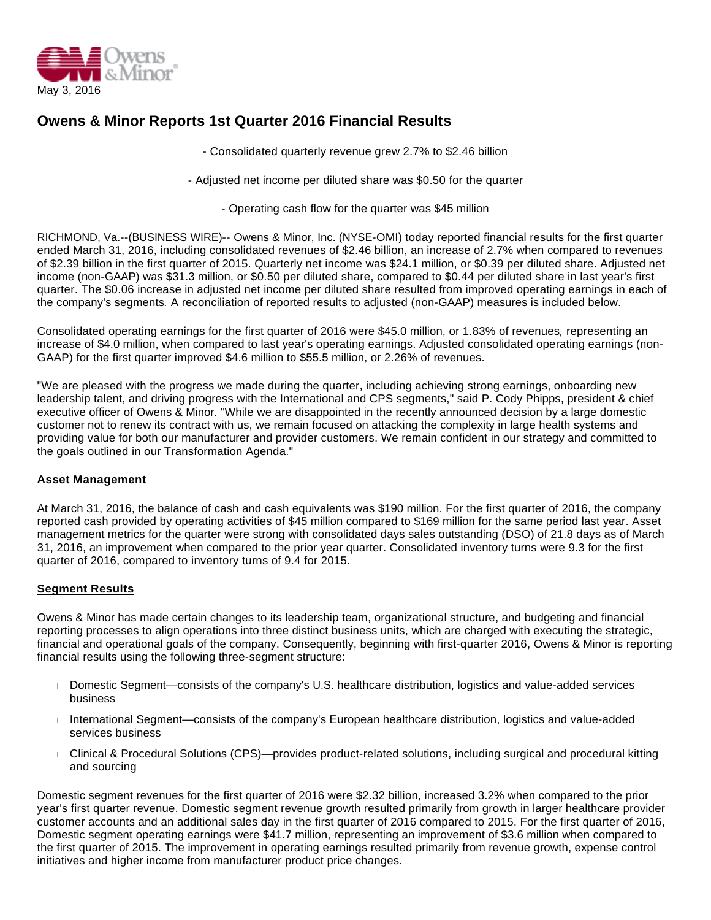

# **Owens & Minor Reports 1st Quarter 2016 Financial Results**

- Consolidated quarterly revenue grew 2.7% to \$2.46 billion

- Adjusted net income per diluted share was \$0.50 for the quarter

- Operating cash flow for the quarter was \$45 million

RICHMOND, Va.--(BUSINESS WIRE)-- Owens & Minor, Inc. (NYSE-OMI) today reported financial results for the first quarter ended March 31, 2016, including consolidated revenues of \$2.46 billion, an increase of 2.7% when compared to revenues of \$2.39 billion in the first quarter of 2015. Quarterly net income was \$24.1 million, or \$0.39 per diluted share. Adjusted net income (non-GAAP) was \$31.3 million, or \$0.50 per diluted share, compared to \$0.44 per diluted share in last year's first quarter. The \$0.06 increase in adjusted net income per diluted share resulted from improved operating earnings in each of the company's segments. A reconciliation of reported results to adjusted (non-GAAP) measures is included below.

Consolidated operating earnings for the first quarter of 2016 were \$45.0 million, or 1.83% of revenues, representing an increase of \$4.0 million, when compared to last year's operating earnings. Adjusted consolidated operating earnings (non-GAAP) for the first quarter improved \$4.6 million to \$55.5 million, or 2.26% of revenues.

"We are pleased with the progress we made during the quarter, including achieving strong earnings, onboarding new leadership talent, and driving progress with the International and CPS segments," said P. Cody Phipps, president & chief executive officer of Owens & Minor. "While we are disappointed in the recently announced decision by a large domestic customer not to renew its contract with us, we remain focused on attacking the complexity in large health systems and providing value for both our manufacturer and provider customers. We remain confident in our strategy and committed to the goals outlined in our Transformation Agenda."

#### **Asset Management**

At March 31, 2016, the balance of cash and cash equivalents was \$190 million. For the first quarter of 2016, the company reported cash provided by operating activities of \$45 million compared to \$169 million for the same period last year. Asset management metrics for the quarter were strong with consolidated days sales outstanding (DSO) of 21.8 days as of March 31, 2016, an improvement when compared to the prior year quarter. Consolidated inventory turns were 9.3 for the first quarter of 2016, compared to inventory turns of 9.4 for 2015.

#### **Segment Results**

Owens & Minor has made certain changes to its leadership team, organizational structure, and budgeting and financial reporting processes to align operations into three distinct business units, which are charged with executing the strategic, financial and operational goals of the company. Consequently, beginning with first-quarter 2016, Owens & Minor is reporting financial results using the following three-segment structure:

- Domestic Segment—consists of the company's U.S. healthcare distribution, logistics and value-added services business
- International Segment—consists of the company's European healthcare distribution, logistics and value-added services business
- Clinical & Procedural Solutions (CPS)—provides product-related solutions, including surgical and procedural kitting and sourcing

Domestic segment revenues for the first quarter of 2016 were \$2.32 billion, increased 3.2% when compared to the prior year's first quarter revenue. Domestic segment revenue growth resulted primarily from growth in larger healthcare provider customer accounts and an additional sales day in the first quarter of 2016 compared to 2015. For the first quarter of 2016, Domestic segment operating earnings were \$41.7 million, representing an improvement of \$3.6 million when compared to the first quarter of 2015. The improvement in operating earnings resulted primarily from revenue growth, expense control initiatives and higher income from manufacturer product price changes.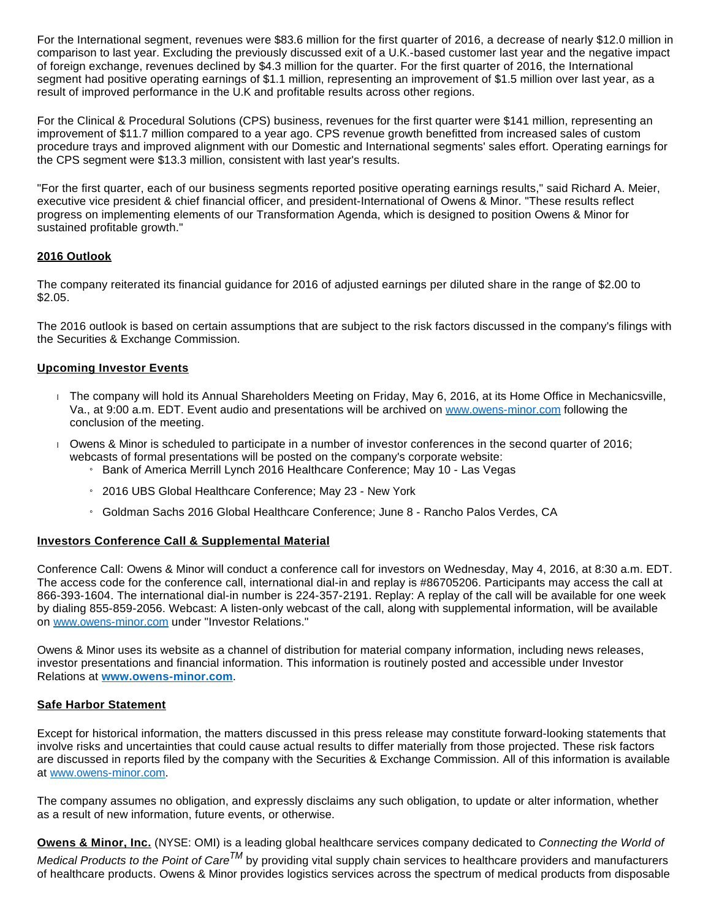For the International segment, revenues were \$83.6 million for the first quarter of 2016, a decrease of nearly \$12.0 million in comparison to last year. Excluding the previously discussed exit of a U.K.-based customer last year and the negative impact of foreign exchange, revenues declined by \$4.3 million for the quarter. For the first quarter of 2016, the International segment had positive operating earnings of \$1.1 million, representing an improvement of \$1.5 million over last year, as a result of improved performance in the U.K and profitable results across other regions.

For the Clinical & Procedural Solutions (CPS) business, revenues for the first quarter were \$141 million, representing an improvement of \$11.7 million compared to a year ago. CPS revenue growth benefitted from increased sales of custom procedure trays and improved alignment with our Domestic and International segments' sales effort. Operating earnings for the CPS segment were \$13.3 million, consistent with last year's results.

"For the first quarter, each of our business segments reported positive operating earnings results," said Richard A. Meier, executive vice president & chief financial officer, and president-International of Owens & Minor. "These results reflect progress on implementing elements of our Transformation Agenda, which is designed to position Owens & Minor for sustained profitable growth."

# **2016 Outlook**

The company reiterated its financial guidance for 2016 of adjusted earnings per diluted share in the range of \$2.00 to \$2.05.

The 2016 outlook is based on certain assumptions that are subject to the risk factors discussed in the company's filings with the Securities & Exchange Commission.

### **Upcoming Investor Events**

- The company will hold its Annual Shareholders Meeting on Friday, May 6, 2016, at its Home Office in Mechanicsville, Va., at 9:00 a.m. EDT. Event audio and presentations will be archived on [www.owens-minor.com](http://cts.businesswire.com/ct/CT?id=smartlink&url=http%3A%2F%2Fwww.owens-minor.com&esheet=51334437&newsitemid=20160503007148&lan=en-US&anchor=www.owens-minor.com&index=1&md5=5045ce202afa618601ddbaa17bc3c519) following the conclusion of the meeting.
- Owens & Minor is scheduled to participate in a number of investor conferences in the second quarter of 2016; webcasts of formal presentations will be posted on the company's corporate website:
	- » Bank of America Merrill Lynch 2016 Healthcare Conference; May 10 Las Vegas
	- » 2016 UBS Global Healthcare Conference; May 23 New York
	- » Goldman Sachs 2016 Global Healthcare Conference; June 8 Rancho Palos Verdes, CA

#### **Investors Conference Call & Supplemental Material**

Conference Call: Owens & Minor will conduct a conference call for investors on Wednesday, May 4, 2016, at 8:30 a.m. EDT. The access code for the conference call, international dial-in and replay is #86705206. Participants may access the call at 866-393-1604. The international dial-in number is 224-357-2191. Replay: A replay of the call will be available for one week by dialing 855-859-2056. Webcast: A listen-only webcast of the call, along with supplemental information, will be available on [www.owens-minor.com](http://cts.businesswire.com/ct/CT?id=smartlink&url=http%3A%2F%2Fwww.owens-minor.com&esheet=51334437&newsitemid=20160503007148&lan=en-US&anchor=www.owens-minor.com&index=2&md5=76440340002b1e1e4424edeca5a3bdda) under "Investor Relations."

Owens & Minor uses its website as a channel of distribution for material company information, including news releases, investor presentations and financial information. This information is routinely posted and accessible under Investor Relations at **[www.owens-minor.com](http://cts.businesswire.com/ct/CT?id=smartlink&url=http%3A%2F%2Fwww.owens-minor.com&esheet=51334437&newsitemid=20160503007148&lan=en-US&anchor=www.owens-minor.com&index=3&md5=cad9f4870ed63cac97b3481ec6226986)**.

#### **Safe Harbor Statement**

Except for historical information, the matters discussed in this press release may constitute forward-looking statements that involve risks and uncertainties that could cause actual results to differ materially from those projected. These risk factors are discussed in reports filed by the company with the Securities & Exchange Commission. All of this information is available at [www.owens-minor.com](http://cts.businesswire.com/ct/CT?id=smartlink&url=http%3A%2F%2Fwww.owens-minor.com&esheet=51334437&newsitemid=20160503007148&lan=en-US&anchor=www.owens-minor.com&index=4&md5=9d7430f86ab53c3e667212fabc0f07c8).

The company assumes no obligation, and expressly disclaims any such obligation, to update or alter information, whether as a result of new information, future events, or otherwise.

**Owens & Minor, Inc.** (NYSE: OMI) is a leading global healthcare services company dedicated to Connecting the World of

Medical Products to the Point of Care<sup>TM</sup> by providing vital supply chain services to healthcare providers and manufacturers of healthcare products. Owens & Minor provides logistics services across the spectrum of medical products from disposable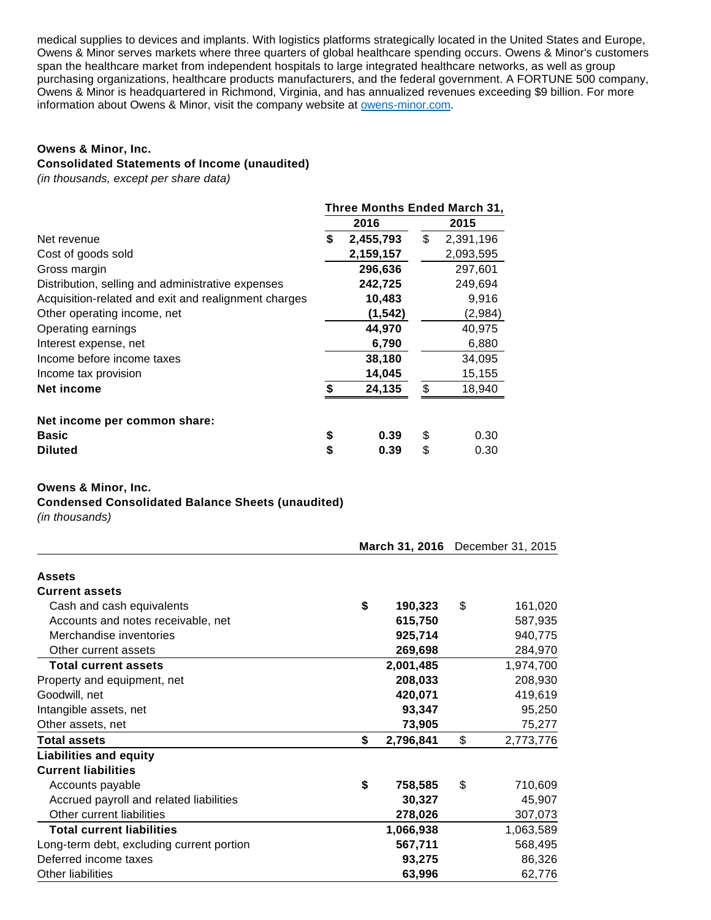medical supplies to devices and implants. With logistics platforms strategically located in the United States and Europe, Owens & Minor serves markets where three quarters of global healthcare spending occurs. Owens & Minor's customers span the healthcare market from independent hospitals to large integrated healthcare networks, as well as group purchasing organizations, healthcare products manufacturers, and the federal government. A FORTUNE 500 company, Owens & Minor is headquartered in Richmond, Virginia, and has annualized revenues exceeding \$9 billion. For more information about Owens & Minor, visit the company website at [owens-minor.com](http://cts.businesswire.com/ct/CT?id=smartlink&url=http%3A%2F%2Fwww.owens-minor.com&esheet=51334437&newsitemid=20160503007148&lan=en-US&anchor=owens-minor.com&index=5&md5=094c721cb89816a83fec7f96bd2607b1).

# **Owens & Minor, Inc.**

#### **Consolidated Statements of Income (unaudited)**

(in thousands, except per share data)

|                                                      | Three Months Ended March 31, |     |           |
|------------------------------------------------------|------------------------------|-----|-----------|
|                                                      | 2016                         |     | 2015      |
| Net revenue                                          | \$<br>2,455,793              | \$  | 2,391,196 |
| Cost of goods sold                                   | 2,159,157                    |     | 2,093,595 |
| Gross margin                                         | 296,636                      |     | 297,601   |
| Distribution, selling and administrative expenses    | 242,725                      |     | 249,694   |
| Acquisition-related and exit and realignment charges | 10,483                       |     | 9,916     |
| Other operating income, net                          | (1, 542)                     |     | (2,984)   |
| Operating earnings                                   | 44,970                       |     | 40,975    |
| Interest expense, net                                | 6,790                        |     | 6,880     |
| Income before income taxes                           | 38,180                       |     | 34,095    |
| Income tax provision                                 | 14,045                       |     | 15,155    |
| Net income                                           | \$<br>24,135                 | \$. | 18,940    |
| Net income per common share:                         |                              |     |           |
| <b>Basic</b>                                         | \$<br>0.39                   | \$  | 0.30      |
| <b>Diluted</b>                                       | \$<br>0.39                   | \$  | 0.30      |

#### **Owens & Minor, Inc.**

### **Condensed Consolidated Balance Sheets (unaudited)**

(in thousands)

|                                           |                 | March 31, 2016 December 31, 2015 |
|-------------------------------------------|-----------------|----------------------------------|
| <b>Assets</b>                             |                 |                                  |
| <b>Current assets</b>                     |                 |                                  |
| Cash and cash equivalents                 | \$<br>190,323   | \$<br>161,020                    |
| Accounts and notes receivable, net        | 615,750         | 587,935                          |
| Merchandise inventories                   | 925,714         | 940,775                          |
| Other current assets                      | 269,698         | 284,970                          |
| <b>Total current assets</b>               | 2,001,485       | 1,974,700                        |
| Property and equipment, net               | 208,033         | 208,930                          |
| Goodwill, net                             | 420,071         | 419,619                          |
| Intangible assets, net                    | 93,347          | 95,250                           |
| Other assets, net                         | 73,905          | 75,277                           |
| <b>Total assets</b>                       | \$<br>2,796,841 | \$<br>2,773,776                  |
| <b>Liabilities and equity</b>             |                 |                                  |
| <b>Current liabilities</b>                |                 |                                  |
| Accounts payable                          | \$<br>758,585   | \$<br>710,609                    |
| Accrued payroll and related liabilities   | 30,327          | 45,907                           |
| Other current liabilities                 | 278,026         | 307,073                          |
| <b>Total current liabilities</b>          | 1,066,938       | 1,063,589                        |
| Long-term debt, excluding current portion | 567,711         | 568,495                          |
| Deferred income taxes                     | 93,275          | 86,326                           |
| <b>Other liabilities</b>                  | 63,996          | 62,776                           |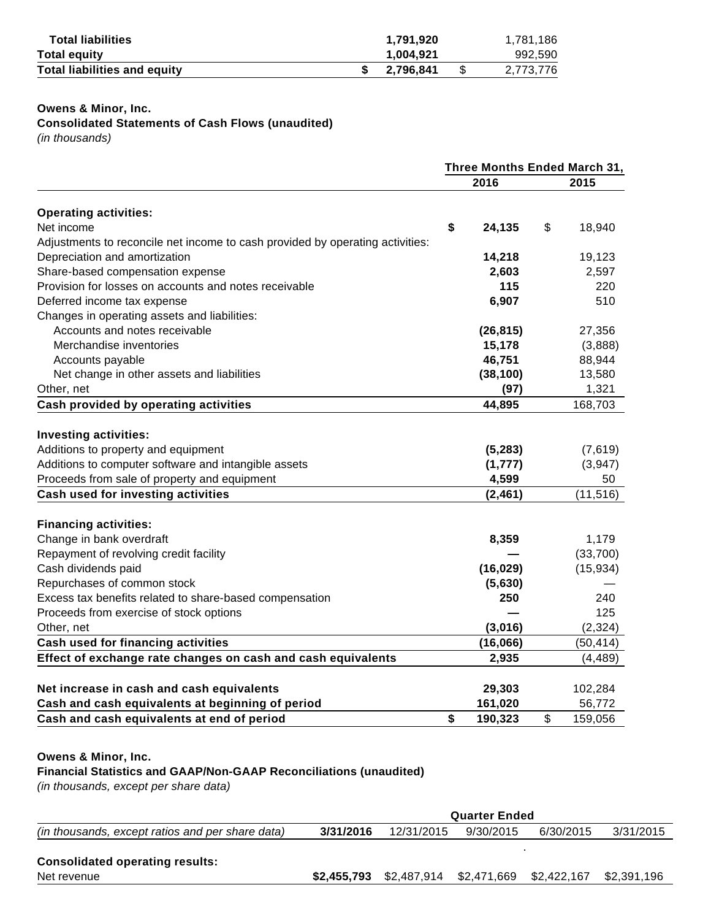| <b>Total liabilities</b>            | 1.791.920 | 1,781,186 |
|-------------------------------------|-----------|-----------|
| <b>Total equity</b>                 | 1.004.921 | 992,590   |
| <b>Total liabilities and equity</b> | 2.796.841 | 2.773.776 |

# **Owens & Minor, Inc.**

**Consolidated Statements of Cash Flows (unaudited)**

(in thousands)

|                                                                               | Three Months Ended March 31, |           |    |           |  |
|-------------------------------------------------------------------------------|------------------------------|-----------|----|-----------|--|
|                                                                               |                              | 2016      |    | 2015      |  |
| <b>Operating activities:</b>                                                  |                              |           |    |           |  |
| Net income                                                                    | \$                           | 24,135    | \$ | 18,940    |  |
| Adjustments to reconcile net income to cash provided by operating activities: |                              |           |    |           |  |
| Depreciation and amortization                                                 |                              | 14,218    |    | 19,123    |  |
| Share-based compensation expense                                              |                              | 2,603     |    | 2,597     |  |
| Provision for losses on accounts and notes receivable                         |                              | 115       |    | 220       |  |
| Deferred income tax expense                                                   |                              | 6,907     |    | 510       |  |
| Changes in operating assets and liabilities:                                  |                              |           |    |           |  |
| Accounts and notes receivable                                                 |                              | (26, 815) |    | 27,356    |  |
| Merchandise inventories                                                       |                              | 15,178    |    | (3,888)   |  |
| Accounts payable                                                              |                              | 46,751    |    | 88,944    |  |
| Net change in other assets and liabilities                                    |                              | (38, 100) |    | 13,580    |  |
| Other, net                                                                    |                              | (97)      |    | 1,321     |  |
| Cash provided by operating activities                                         |                              | 44,895    |    | 168,703   |  |
|                                                                               |                              |           |    |           |  |
| <b>Investing activities:</b>                                                  |                              |           |    |           |  |
| Additions to property and equipment                                           |                              | (5, 283)  |    | (7,619)   |  |
| Additions to computer software and intangible assets                          |                              | (1,777)   |    | (3,947)   |  |
| Proceeds from sale of property and equipment                                  |                              | 4,599     |    | 50        |  |
| Cash used for investing activities                                            |                              | (2, 461)  |    | (11, 516) |  |
| <b>Financing activities:</b>                                                  |                              |           |    |           |  |
| Change in bank overdraft                                                      |                              | 8,359     |    | 1,179     |  |
| Repayment of revolving credit facility                                        |                              |           |    | (33,700)  |  |
| Cash dividends paid                                                           |                              | (16, 029) |    | (15, 934) |  |
| Repurchases of common stock                                                   |                              | (5,630)   |    |           |  |
| Excess tax benefits related to share-based compensation                       |                              | 250       |    | 240       |  |
| Proceeds from exercise of stock options                                       |                              |           |    | 125       |  |
| Other, net                                                                    |                              | (3,016)   |    | (2, 324)  |  |
| Cash used for financing activities                                            |                              | (16,066)  |    | (50, 414) |  |
| Effect of exchange rate changes on cash and cash equivalents                  |                              | 2,935     |    | (4, 489)  |  |
|                                                                               |                              |           |    |           |  |
| Net increase in cash and cash equivalents                                     |                              | 29,303    |    | 102,284   |  |
| Cash and cash equivalents at beginning of period                              |                              | 161,020   |    | 56,772    |  |
| Cash and cash equivalents at end of period                                    | \$                           | 190,323   | \$ | 159,056   |  |

# **Owens & Minor, Inc.**

# **Financial Statistics and GAAP/Non-GAAP Reconciliations (unaudited)**

(in thousands, except per share data)

|                                                  | <b>Quarter Ended</b> |                                     |           |           |             |  |  |  |
|--------------------------------------------------|----------------------|-------------------------------------|-----------|-----------|-------------|--|--|--|
| (in thousands, except ratios and per share data) | 3/31/2016            | 12/31/2015                          | 9/30/2015 | 6/30/2015 | 3/31/2015   |  |  |  |
| <b>Consolidated operating results:</b>           |                      |                                     |           |           |             |  |  |  |
| Net revenue                                      | \$2,455,793          | \$2,487,914 \$2,471,669 \$2,422,167 |           |           | \$2,391,196 |  |  |  |
|                                                  |                      |                                     |           |           |             |  |  |  |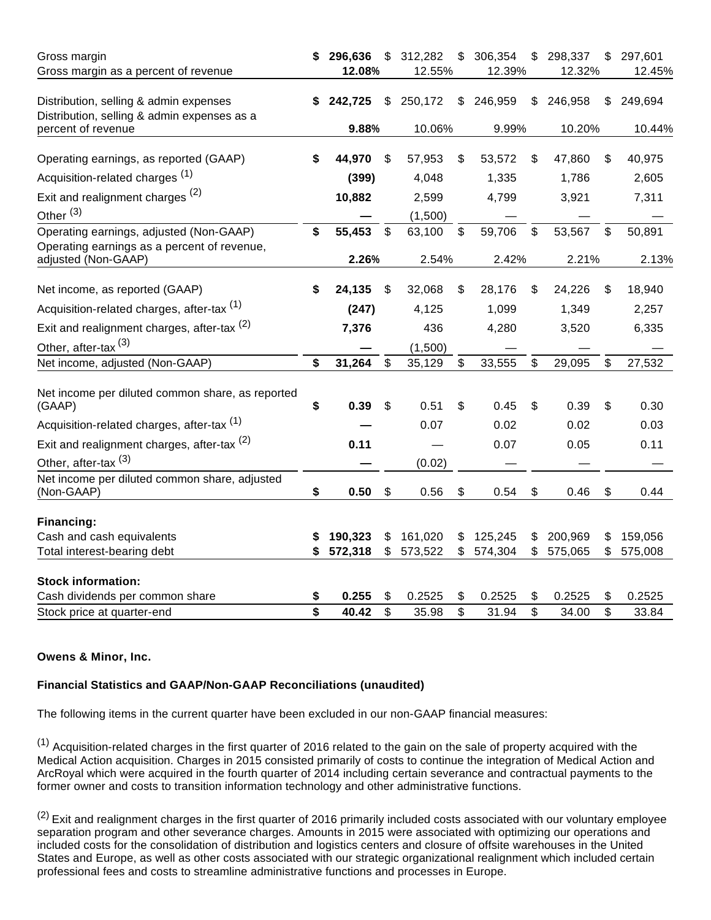| Gross margin                                                                          | S  | 296,636 | \$                        | 312,282 | S  | 306,354 | S                         | 298,337 | \$ | 297,601 |
|---------------------------------------------------------------------------------------|----|---------|---------------------------|---------|----|---------|---------------------------|---------|----|---------|
| Gross margin as a percent of revenue                                                  |    | 12.08%  |                           | 12.55%  |    | 12.39%  |                           | 12.32%  |    | 12.45%  |
|                                                                                       |    |         |                           |         |    |         |                           |         |    |         |
| Distribution, selling & admin expenses<br>Distribution, selling & admin expenses as a | S  | 242,725 | $\mathfrak{S}$            | 250,172 | S  | 246,959 | S                         | 246,958 | S  | 249,694 |
| percent of revenue                                                                    |    | 9.88%   |                           | 10.06%  |    | 9.99%   |                           | 10.20%  |    | 10.44%  |
|                                                                                       |    |         |                           |         |    |         |                           |         |    |         |
| Operating earnings, as reported (GAAP)                                                | \$ | 44,970  | \$                        | 57,953  | \$ | 53,572  | \$                        | 47,860  | \$ | 40,975  |
| Acquisition-related charges <sup>(1)</sup>                                            |    | (399)   |                           | 4,048   |    | 1,335   |                           | 1,786   |    | 2,605   |
| Exit and realignment charges <sup>(2)</sup>                                           |    | 10,882  |                           | 2,599   |    | 4,799   |                           | 3,921   |    | 7,311   |
| Other <sup>(3)</sup>                                                                  |    |         |                           | (1,500) |    |         |                           |         |    |         |
| Operating earnings, adjusted (Non-GAAP)                                               | \$ | 55,453  | \$                        | 63,100  | \$ | 59,706  | \$                        | 53,567  | \$ | 50,891  |
| Operating earnings as a percent of revenue,                                           |    |         |                           |         |    |         |                           |         |    |         |
| adjusted (Non-GAAP)                                                                   |    | 2.26%   |                           | 2.54%   |    | 2.42%   |                           | 2.21%   |    | 2.13%   |
| Net income, as reported (GAAP)                                                        | \$ | 24,135  | \$                        | 32,068  | \$ | 28,176  | \$                        | 24,226  | \$ | 18,940  |
| Acquisition-related charges, after-tax <sup>(1)</sup>                                 |    | (247)   |                           | 4,125   |    | 1,099   |                           | 1,349   |    | 2,257   |
| Exit and realignment charges, after-tax (2)                                           |    | 7,376   |                           | 436     |    | 4,280   |                           | 3,520   |    | 6,335   |
| Other, after-tax <sup>(3)</sup>                                                       |    |         |                           | (1,500) |    |         |                           |         |    |         |
| Net income, adjusted (Non-GAAP)                                                       | \$ | 31,264  | \$                        | 35,129  | \$ | 33,555  | $\boldsymbol{\mathsf{S}}$ | 29,095  | \$ | 27,532  |
|                                                                                       |    |         |                           |         |    |         |                           |         |    |         |
| Net income per diluted common share, as reported                                      |    |         |                           |         |    |         |                           |         |    |         |
| (GAAP)                                                                                | \$ | 0.39    | \$                        | 0.51    | \$ | 0.45    | \$                        | 0.39    | \$ | 0.30    |
| Acquisition-related charges, after-tax (1)                                            |    |         |                           | 0.07    |    | 0.02    |                           | 0.02    |    | 0.03    |
| Exit and realignment charges, after-tax <sup>(2)</sup>                                |    | 0.11    |                           |         |    | 0.07    |                           | 0.05    |    | 0.11    |
| Other, after-tax <sup>(3)</sup>                                                       |    |         |                           | (0.02)  |    |         |                           |         |    |         |
| Net income per diluted common share, adjusted                                         |    |         |                           |         |    |         |                           |         |    |         |
| (Non-GAAP)                                                                            | \$ | 0.50    | $\boldsymbol{\mathsf{S}}$ | 0.56    | \$ | 0.54    | \$                        | 0.46    | \$ | 0.44    |
| Financing:                                                                            |    |         |                           |         |    |         |                           |         |    |         |
| Cash and cash equivalents                                                             | S  | 190,323 | \$                        | 161,020 | \$ | 125,245 | \$                        | 200,969 | \$ | 159,056 |
| Total interest-bearing debt                                                           | \$ | 572,318 | \$                        | 573,522 | \$ | 574,304 | \$                        | 575,065 | \$ | 575,008 |
|                                                                                       |    |         |                           |         |    |         |                           |         |    |         |
| <b>Stock information:</b>                                                             |    |         |                           |         |    |         |                           |         |    |         |
| Cash dividends per common share                                                       | \$ | 0.255   | \$                        | 0.2525  | \$ | 0.2525  | \$                        | 0.2525  | \$ | 0.2525  |
| Stock price at quarter-end                                                            | \$ | 40.42   | \$                        | 35.98   | \$ | 31.94   | \$                        | 34.00   | \$ | 33.84   |

# **Owens & Minor, Inc.**

# **Financial Statistics and GAAP/Non-GAAP Reconciliations (unaudited)**

The following items in the current quarter have been excluded in our non-GAAP financial measures:

(1) Acquisition-related charges in the first quarter of 2016 related to the gain on the sale of property acquired with the Medical Action acquisition. Charges in 2015 consisted primarily of costs to continue the integration of Medical Action and ArcRoyal which were acquired in the fourth quarter of 2014 including certain severance and contractual payments to the former owner and costs to transition information technology and other administrative functions.

 $(2)$  Exit and realignment charges in the first quarter of 2016 primarily included costs associated with our voluntary employee separation program and other severance charges. Amounts in 2015 were associated with optimizing our operations and included costs for the consolidation of distribution and logistics centers and closure of offsite warehouses in the United States and Europe, as well as other costs associated with our strategic organizational realignment which included certain professional fees and costs to streamline administrative functions and processes in Europe.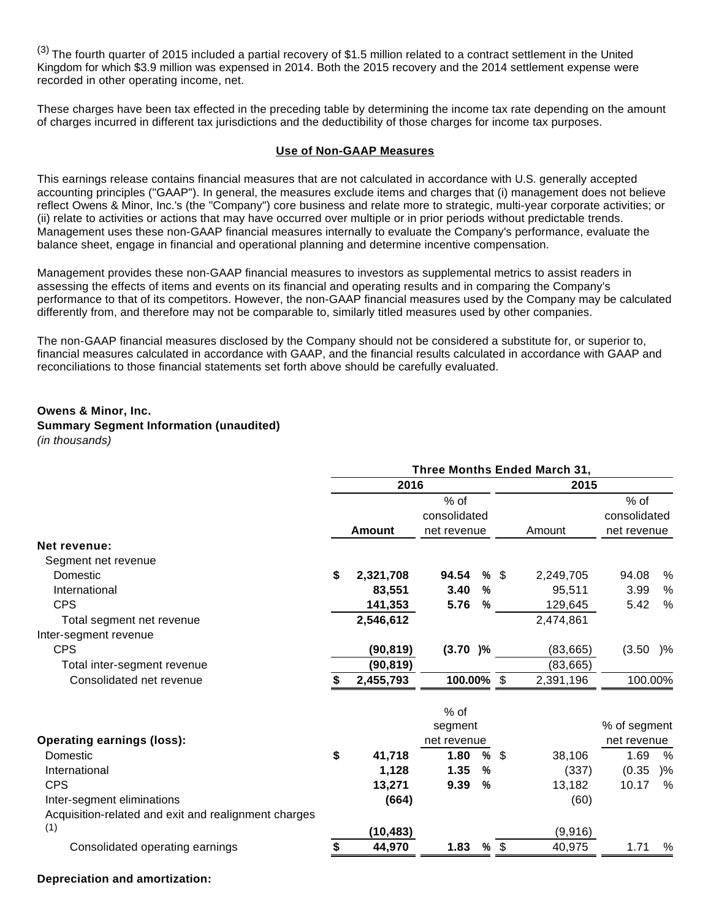$^{(3)}$  The fourth quarter of 2015 included a partial recovery of \$1.5 million related to a contract settlement in the United Kingdom for which \$3.9 million was expensed in 2014. Both the 2015 recovery and the 2014 settlement expense were recorded in other operating income, net.

These charges have been tax effected in the preceding table by determining the income tax rate depending on the amount of charges incurred in different tax jurisdictions and the deductibility of those charges for income tax purposes.

#### **Use of Non-GAAP Measures**

This earnings release contains financial measures that are not calculated in accordance with U.S. generally accepted accounting principles ("GAAP"). In general, the measures exclude items and charges that (i) management does not believe reflect Owens & Minor, Inc.'s (the "Company") core business and relate more to strategic, multi-year corporate activities; or (ii) relate to activities or actions that may have occurred over multiple or in prior periods without predictable trends. Management uses these non-GAAP financial measures internally to evaluate the Company's performance, evaluate the balance sheet, engage in financial and operational planning and determine incentive compensation.

Management provides these non-GAAP financial measures to investors as supplemental metrics to assist readers in assessing the effects of items and events on its financial and operating results and in comparing the Company's performance to that of its competitors. However, the non-GAAP financial measures used by the Company may be calculated differently from, and therefore may not be comparable to, similarly titled measures used by other companies.

The non-GAAP financial measures disclosed by the Company should not be considered a substitute for, or superior to, financial measures calculated in accordance with GAAP, and the financial results calculated in accordance with GAAP and reconciliations to those financial statements set forth above should be carefully evaluated.

### **Owens & Minor, Inc.**

# **Summary Segment Information (unaudited)**

(in thousands)

|                                                      |                 |              |      |     | Three Months Ended March 31, |              |               |
|------------------------------------------------------|-----------------|--------------|------|-----|------------------------------|--------------|---------------|
|                                                      | 2016            |              |      |     | 2015                         |              |               |
|                                                      |                 | $%$ of       |      |     |                              | $%$ of       |               |
|                                                      |                 | consolidated |      |     |                              | consolidated |               |
|                                                      | <b>Amount</b>   | net revenue  |      |     | Amount                       | net revenue  |               |
| Net revenue:                                         |                 |              |      |     |                              |              |               |
| Segment net revenue                                  |                 |              |      |     |                              |              |               |
| Domestic                                             | \$<br>2,321,708 | 94.54        |      | %\$ | 2,249,705                    | 94.08        | $\%$          |
| International                                        | 83,551          | 3.40         | %    |     | 95,511                       | 3.99         | %             |
| <b>CPS</b>                                           | 141,353         | 5.76         | $\%$ |     | 129,645                      | 5.42         | %             |
| Total segment net revenue                            | 2,546,612       |              |      |     | 2,474,861                    |              |               |
| Inter-segment revenue                                |                 |              |      |     |                              |              |               |
| <b>CPS</b>                                           | (90, 819)       | $(3.70)$ %   |      |     | (83, 665)                    | (3.50)       | )%            |
| Total inter-segment revenue                          | (90, 819)       |              |      |     | (83, 665)                    |              |               |
| Consolidated net revenue                             | 2,455,793       | 100.00% \$   |      |     | 2,391,196                    | 100.00%      |               |
|                                                      |                 |              |      |     |                              |              |               |
|                                                      |                 | % of         |      |     |                              |              |               |
|                                                      |                 | segment      |      |     |                              | % of segment |               |
| <b>Operating earnings (loss):</b>                    |                 | net revenue  |      |     |                              | net revenue  |               |
| Domestic                                             | \$<br>41,718    | 1.80         |      | %\$ | 38,106                       | 1.69         | %             |
| International                                        | 1,128           | 1.35         | %    |     | (337)                        | (0.35)       | $\frac{9}{6}$ |
| <b>CPS</b>                                           | 13,271          | 9.39         | $\%$ |     | 13,182                       | 10.17        | $\%$          |
| Inter-segment eliminations                           | (664)           |              |      |     | (60)                         |              |               |
| Acquisition-related and exit and realignment charges |                 |              |      |     |                              |              |               |
| (1)                                                  | (10, 483)       |              |      |     | (9,916)                      |              |               |
| Consolidated operating earnings                      | 44,970          | 1.83         |      | %\$ | 40,975                       | 1.71         | %             |

**Depreciation and amortization:**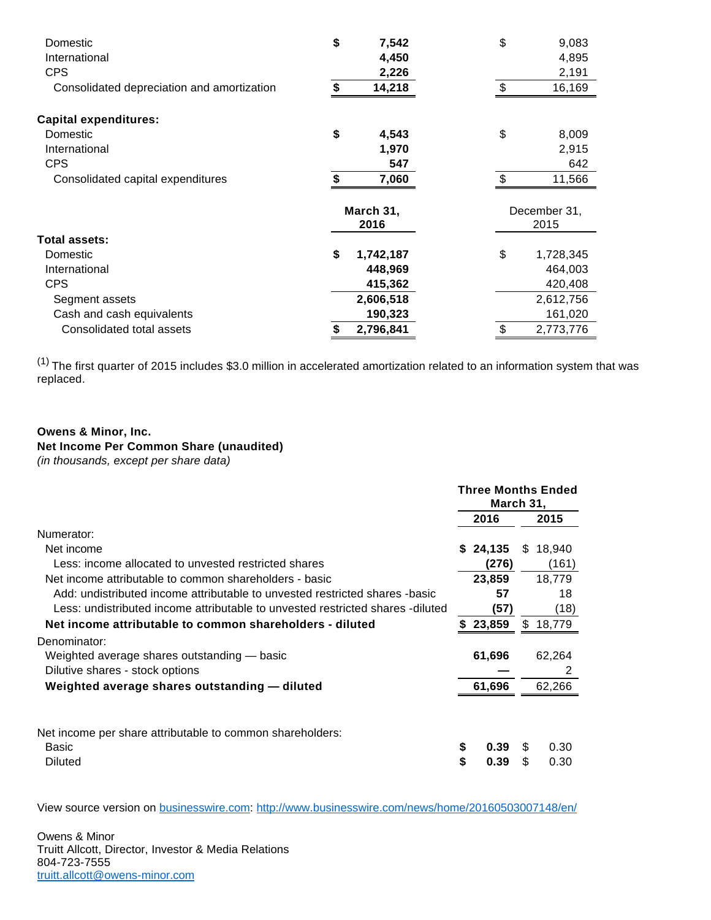| Domestic                                   | \$<br>7,542       | \$<br>9,083          |
|--------------------------------------------|-------------------|----------------------|
| International                              | 4,450             | 4,895                |
| <b>CPS</b>                                 | 2,226             | 2,191                |
| Consolidated depreciation and amortization | \$<br>14,218      | \$<br>16,169         |
| <b>Capital expenditures:</b>               |                   |                      |
| Domestic                                   | \$<br>4,543       | \$<br>8,009          |
| International                              | 1,970             | 2,915                |
| <b>CPS</b>                                 | 547               | 642                  |
| Consolidated capital expenditures          | \$<br>7,060       | \$<br>11,566         |
|                                            |                   |                      |
|                                            | March 31,<br>2016 | December 31,<br>2015 |
| Total assets:                              |                   |                      |
| Domestic                                   | \$<br>1,742,187   | \$<br>1,728,345      |
| International                              | 448,969           | 464,003              |
| <b>CPS</b>                                 | 415,362           | 420,408              |
| Segment assets                             | 2,606,518         | 2,612,756            |
| Cash and cash equivalents                  | 190,323           | 161,020              |

 $(1)$  The first quarter of 2015 includes \$3.0 million in accelerated amortization related to an information system that was replaced.

#### **Owens & Minor, Inc. Net Income Per Common Share (unaudited)** (in thousands, except per share data)

**Three Months Ended March 31, 2016 2015** Numerator: Net income **\$ 24,135** \$ 18,940 Less: income allocated to unvested restricted shares **(276)** (161 ) Net income attributable to common shareholders - basic **23,859** 18,779 Add: undistributed income attributable to unvested restricted shares -basic **57** 18 Less: undistributed income attributable to unvested restricted shares -diluted **(57)** (18 ) **Net income attributable to common shareholders - diluted \$ 23,859** \$ 18,779 Denominator: Weighted average shares outstanding — basic **61,696** 62,264 Dilutive shares - stock options **—** 2 **Weighted average shares outstanding — diluted 61,696** 62,266 Net income per share attributable to common shareholders: Basic **\$ 0.39** \$ 0.30 Diluted **\$ 0.39** \$ 0.30

View source version on [businesswire.com](http://businesswire.com/): <http://www.businesswire.com/news/home/20160503007148/en/>

Owens & Minor Truitt Allcott, Director, Investor & Media Relations 804-723-7555 [truitt.allcott@owens-minor.com](mailto:truitt.allcott@owens-minor.com)